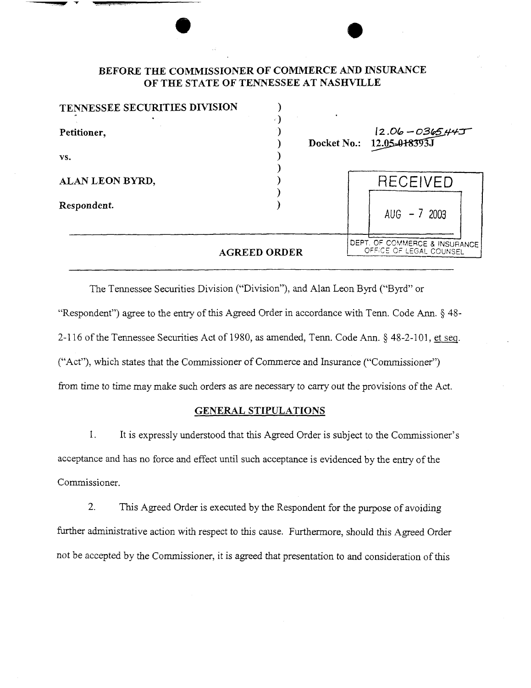# **BEFORE THE COMMISSIONER OF COMMERCE AND INSURANCE OF THE STATE OF TENNESSEE AT NASHVILLE**

| TENNESSEE SECURITIES DIVISION |                     |                                                          |
|-------------------------------|---------------------|----------------------------------------------------------|
| Petitioner,                   |                     | $12.06 - 0365.44J$<br>Docket No.: 12.05-018393J          |
| VS.                           |                     |                                                          |
| ALAN LEON BYRD,               |                     | RECEIVED                                                 |
| Respondent.                   |                     | AUG $-7$ 2003                                            |
|                               | <b>AGREED ORDER</b> | DEPT. OF COMMERCE & INSURANCE<br>OFFICE OF LEGAL COUNSEL |

The Tennessee Securities Division ("Division"), and Alan Leon Byrd ("Byrd" or "Respondent") agree to the entry of this Agreed Order in accordance with Tenn. Code Ann. § 48- 2-116 of the Tennessee Securities Act of 1980, as amended, Tenn. Code Ann. § 48-2-101, et seg. ("Act"), which states that the Commissioner of Commerce and Insurance ("Commissioner") from time to time may make such orders as are necessary to carry out the provisions of the Act.

#### **GENERAL STIPULATIONS**

1. It is expressly understood that this Agreed Order is subject to the Commissioner's acceptance and has no force and effect until such acceptance is evidenced by the entry of the Commissioner.

2. This Agreed Order is executed by the Respondent for the purpose of avoiding further administrative action with respect to this cause. Furthermore, should this Agreed Order not be accepted by the Commissioner, it is agreed that presentation to and consideration of this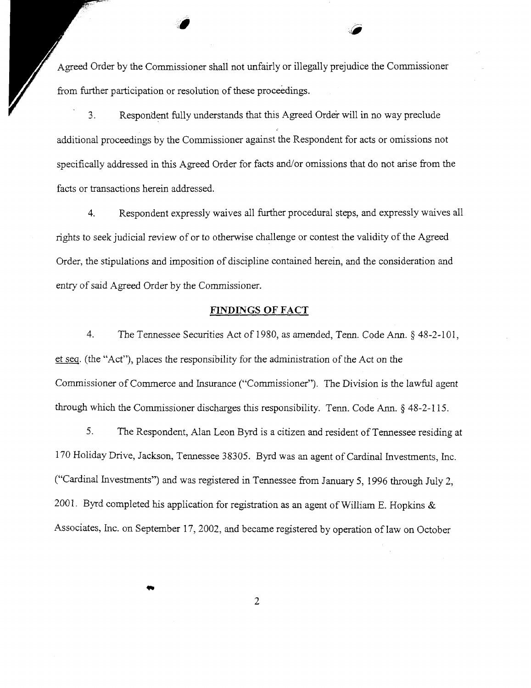Agreed Order by the Commissioner shall not unfairly or illegally prejudice the Commissioner from further participation or resolution of these proceedings.

3. Respondent fully understands that this Agreed Order will in no way preclude additional proceedings by the Commissioner against the Respondent for acts or omissions not specifically addressed in this Agreed Order for facts and/or omissions that do not arise from the facts or transactions herein addressed.

4. Respondent expressly waives all further procedural steps, and expressly waives all rights to seek judicial review of or to otherwise challenge or contest the validity of the Agreed Order, the stipulations and imposition of discipline contained herein, and the consideration and entry of said Agreed Order by the Commissioner.

### **FINDINGS OF FACT**

4. The Tennessee Securities Act of 1980, as amended, Tenn. Code Ann.§ 48-2-101, et seq. (the "Act"), places the responsibility for the administration of the Act on the Commissioner of Commerce and Insurance ("Commissioner"). The Division is the lawful agent through which the Commissioner discharges this responsibility. Tenn. Code Ann.§ 48-2-115.

5. The Respondent, Alan Leon Byrd is a citizen and resident of Tennessee residing at 170 Holiday Drive, Jackson, Tennessee 38305. Byrd was an agent of Cardinal Investments, Inc. ("Cardinal Investments") and was registered in Tennessee from January 5, 1996 through July 2, 2001. Byrd completed his application for registration as an agent of William E. Hopkins  $\&$ Associates, Inc. on September 17, 2002, and became registered by operation of law on October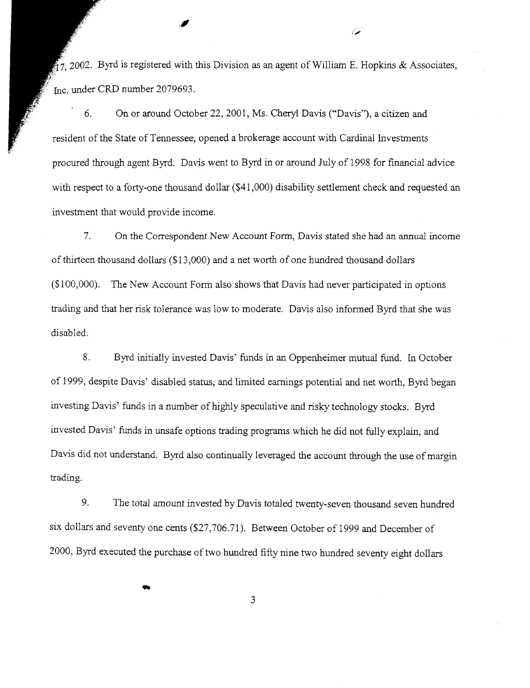$\tilde{H}$ 7, 2002. Byrd is registered with this Division as an agent of William E. Hopkins & Associates, Inc. under CRD number 2079693.

//

6. On or around October 22, 2001, Ms. Cheryl Davis ("'Davis"), a citizen and resident of the State of Tennessee, opened a brokerage account with Cardinal Investments procured through agent Byrd. Davis went to Byrd in or around July of 1998 for financial advice with respect to a forty-one thousand dollar (\$41,000) disability settlement check and requested an investment that would provide income.

7. On the Correspondent New Account Form, Davis stated she had an annual income of thirteen thousand dollars (\$13 ,000) and a net worth of one hundred thousand dollars (\$1 00,000). The New Account Form also shows that Davis had never participated in options trading and that her risk tolerance was low to moderate. Davis also informed Byrd that she was disabled.

8. Byrd initially invested Davis' funds in an Oppenheimer mutual fund. In October of 1999, despite Davis' disabled status, and limited earnings potential and net worth, Byrd began investing Davis' funds in a number of highly speculative and risky technology stocks. Byrd invested Davis' funds in unsafe options trading programs which he did not fully explain, and Davis did not understand. Byrd also continually leveraged the account through the use of margin trading.

9. The total amount invested by Davis totaled twenty-seven thousand seven hundred six dollars and seventy one cents (\$27,706.71). Between October of 1999 and December of 2000, Byrd executed the purchase of two hundred fifty nine two hundred seventy eight dollars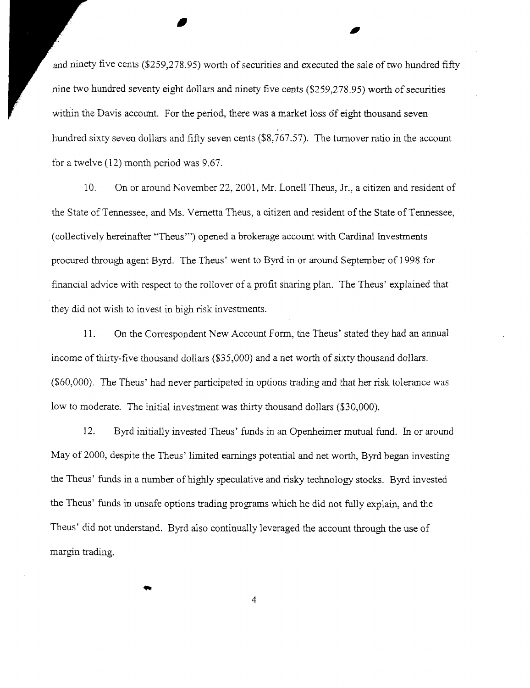and ninety five cents (\$259,278.95) worth of securities and executed the sale of two hundred fifty nine two hundred seventy eight dollars and ninety five cents (\$259,278.95) worth of securities within the Davis account. For the period, there was a market loss of eight thousand seven hundred sixty seven dollars and fifty seven cents (\$8,767.57). The turnover ratio in the account for a twelve (12) month period was 9.67.

,

10. On or around November 22, 2001, Mr. Lonell Theus, Jr., a citizen and resident of the State ofTennessee, and Ms. Vernetta Theus, a citizen and resident of the State ofTennessee, (collectively hereinafter "Theus'") opened a brokerage account with Cardinal Investments procured through agent Byrd. The Theus' went to Byrd in or around September of 1998 for financial advice with respect to the rollover of a profit sharing plan. The Theus' explained that they did not wish to invest in high risk investments.

11. On the Correspondent New Account Form, the Theus' stated they had an annual income of thirty-five thousand dollars (\$35,000) and a net worth of sixty thousand dollars. (\$60,000). The Theus' had never participated in options trading and that her risk tolerance was low to moderate. The initial investment was thirty thousand dollars (\$30,000).

12. Byrd initially invested Theus' funds in an Openheimer mutual fund. In or around May of 2000, despite the Theus' limited earnings potential and net worth, Byrd began investing the Theus' funds in a number of highly speculative and risky technology stocks. Byrd invested the Theus' funds in unsafe options trading programs which he did not fully explain, and the Theus' did not understand. Byrd also continually leveraged the account through the use of margin trading.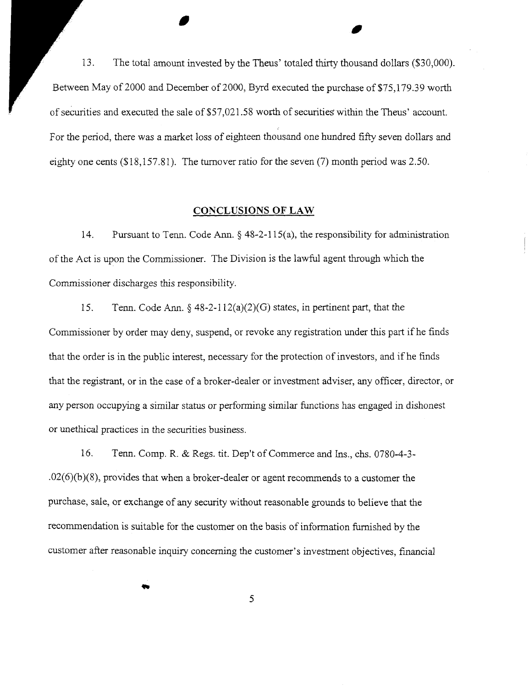13. The total amount invested by the Theus' totaled thirty thousand dollars (\$30,000). Between May of 2000 and December of 2000, Byrd executed the purchase of \$75,179.39 worth of securities and executed the sale of\$57,021.58 worth of securities within the Theus' account. For the period, there was a market loss of eighteen thousand one hundred fifty seven dollars and eighty one cents (\$18,157.81). The turnover ratio for the seven (7) month period was 2.50.

## **CONCLUSIONS OF LAW**

14. Pursuant to Tenn. Code Ann.§ 48-2-115(a), the responsibility for administration of the Act is upon the Commissioner. The Division is the lawful agent through which the Commissioner discharges this responsibility.

15. Tenn. Code Ann.§ 48-2-112(a)(2)(G) states, in pertinent part, that the Commissioner by order may deny, suspend, or revoke any registration under this part if he finds that the order is in the public interest, necessary for the protection of investors, and if he fmds that the registrant, or in the case of a broker-dealer or investment adviser, any officer, director, or any person occupying a similar status or performing similar functions has engaged in dishonest or unethical practices in the securities business.

16. Tenn. Comp. R. & Regs. tit. Dep't of Commerce and Ins., chs. 0780-4-3-  $.02(6)(b)(8)$ , provides that when a broker-dealer or agent recommends to a customer the purchase, sale, or exchange of any security without reasonable grounds to believe that the recommendation is suitable for the customer on the basis of information furnished by the customer after reasonable inquiry concerning the customer's investment objectives, financial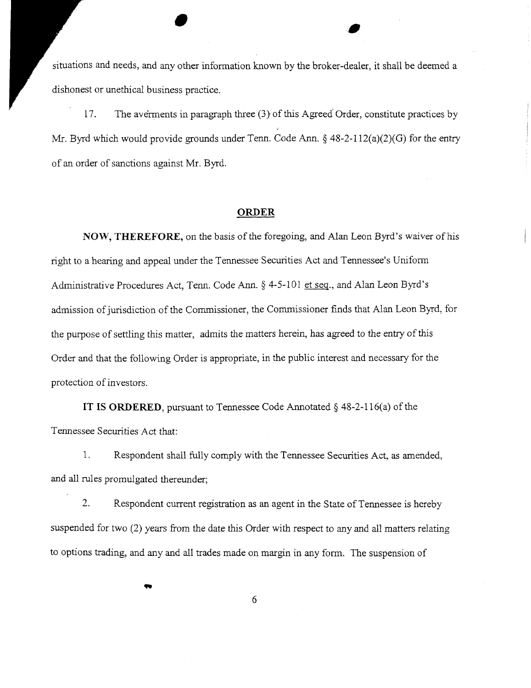situations and needs, and any other information known by the broker-dealer, it shall be deemed a dishonest or unethical business practice.

•

17. The averments in paragraph three (3) of this Agreed Order, constitute practices by Mr. Byrd which would provide grounds under Tenn. Code Ann. § 48-2-112(a)(2)(G) for the entry of an order of sanctions against Mr. Byrd.

#### **ORDER**

**NOW, THEREFORE,** on the basis of the foregoing, and Alan Leon Byrd's waiver ofhis right to a hearing and appeal under the Tennessee Securities Act and Tennessee's Uniform Administrative Procedures Act, Tenn. Code Ann.§ 4-5-101 et seq., and Alan Leon Byrd's admission of jurisdiction of the Commissioner, the Commissioner finds that Alan Leon Byrd, for the purpose of settling this matter, admits the matters herein, has agreed to the entry of this Order and that the following Order is appropriate, in the public interest and necessary for the protection of investors.

**IT IS ORDERED,** pursuant to Tennessee Code Annotated§ 48-2-116(a) of the Tennessee Securities Act that:

1. Respondent shall fully comply with the Tennessee Securities Act, as amended, and all rules promulgated thereunder;

2. Respondent current registration as an agent in the State of Tennessee is hereby suspended for two (2) years from the date this Order with respect to any and all matters relating to options trading, and any and all trades made on margin in any form. The suspension of

6

...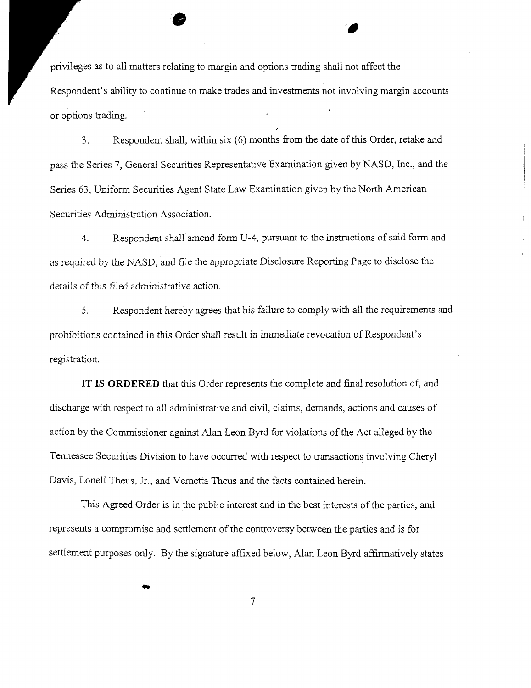privileges as to all matters relating to margin and options trading shall not affect the Respondent's ability to continue to make trades and investments not involving margin accounts .. or options trading.

•

3. Respondent shall, within six (6) months from the date of this Order, retake and pass the Series 7, General Securities Representative Examination given by NASD, Inc., and the Series 63, Uniform Securities Agent State Law Examination given by the North American Securities Administration Association.

4. Respondent shall amend form U-4, pursuant to the instructions of said form and as required by the NASD, and file the appropriate Disclosure Reporting Page to disclose the details of this filed administrative action.

5. Respondent hereby agrees that his failure to comply with all the requirements and prohibitions contained in this Order shall result in immediate revocation of Respondent's registration.

IT IS **ORDERED** that this Order represents the complete and final resolution of, and discharge with respect to all administrative and civil, claims, demands, actions and causes of action by the Commissioner against Alan Leon Byrd for violations of the Act alleged by the Tennessee Securities Division to have occurred with respect to transactions involving Cheryl Davis, Lonell Theus, Jr., and Vernetta Theus and the facts contained herein.

This Agreed Order is in the public interest and in the best interests ofthe parties, and represents a compromise and settlement of the controversy between the parties and is for settlement purposes only. By the signature affixed below, Alan Leon Byrd affirmatively states